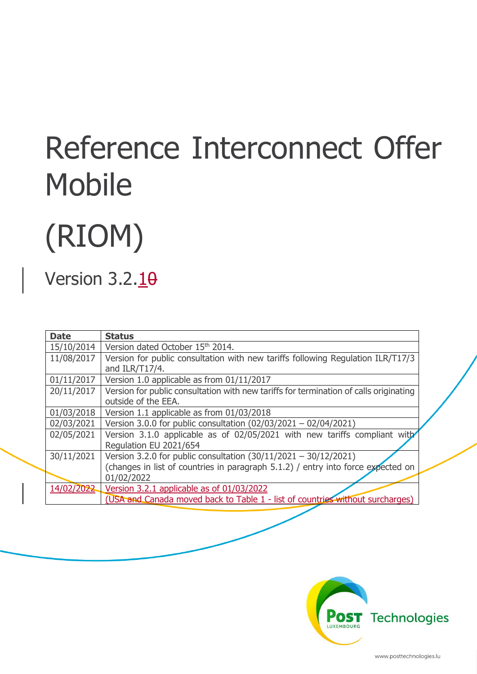# Reference Interconnect Offer Mobile

# (RIOM)

## Version  $3.2.10$

| <b>Date</b> | <b>Status</b>                                                                         |
|-------------|---------------------------------------------------------------------------------------|
| 15/10/2014  | Version dated October 15th 2014.                                                      |
| 11/08/2017  | Version for public consultation with new tariffs following Regulation ILR/T17/3       |
|             | and ILR/T17/4.                                                                        |
| 01/11/2017  | Version 1.0 applicable as from 01/11/2017                                             |
| 20/11/2017  | Version for public consultation with new tariffs for termination of calls originating |
|             | outside of the EEA.                                                                   |
| 01/03/2018  | Version 1.1 applicable as from 01/03/2018                                             |
| 02/03/2021  | Version 3.0.0 for public consultation (02/03/2021 - 02/04/2021)                       |
| 02/05/2021  | Version 3.1.0 applicable as of 02/05/2021 with new tariffs compliant with             |
|             | Regulation EU 2021/654                                                                |
| 30/11/2021  | Version 3.2.0 for public consultation $(30/11/2021 - 30/12/2021)$                     |
|             | (changes in list of countries in paragraph 5.1.2) / entry into force expected on      |
|             | 01/02/2022                                                                            |
| 14/02/2022  | Version 3.2.1 applicable as of 01/03/2022                                             |
|             | (USA and Canada moved back to Table 1 - list of countries without surcharges)         |

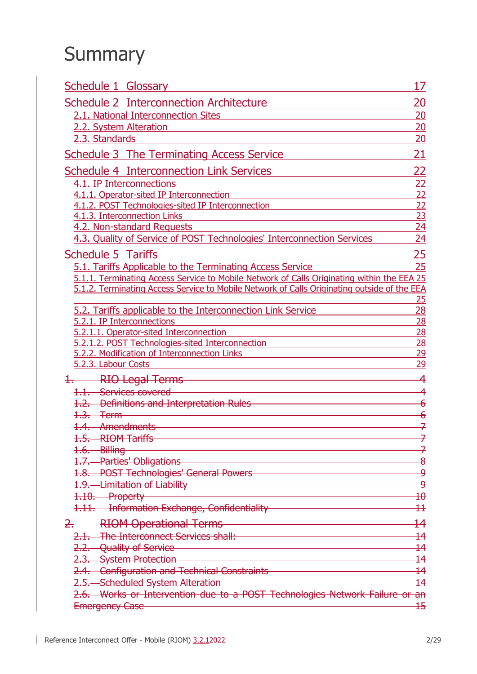## **Summary**

| <b>Schedule 1 Glossary</b>                                                                                                                          | 17                                 |
|-----------------------------------------------------------------------------------------------------------------------------------------------------|------------------------------------|
| Schedule 2 Interconnection Architecture                                                                                                             | <u> 20</u>                         |
| 2.1. National Interconnection Sites                                                                                                                 | 20                                 |
| 2.2. System Alteration                                                                                                                              | 20                                 |
| 2.3. Standards                                                                                                                                      | 20                                 |
| <b>Schedule 3 The Terminating Access Service</b>                                                                                                    | 21                                 |
| <b>Schedule 4 Interconnection Link Services</b>                                                                                                     | <u>22</u>                          |
| 4.1. IP Interconnections                                                                                                                            | 22                                 |
| 4.1.1. Operator-sited IP Interconnection                                                                                                            | $\frac{22}{22}$                    |
| 4.1.2. POST Technologies-sited IP Interconnection                                                                                                   |                                    |
| 4.1.3. Interconnection Links                                                                                                                        | $\overline{23}$                    |
| 4.2. Non-standard Requests                                                                                                                          | 24                                 |
| 4.3. Quality of Service of POST Technologies' Interconnection Services                                                                              | 24                                 |
| <b>Schedule 5 Tariffs</b>                                                                                                                           | 25                                 |
| 5.1. Tariffs Applicable to the Terminating Access Service                                                                                           | 25                                 |
| 5.1.1. Terminating Access Service to Mobile Network of Calls Originating within the EEA 25                                                          |                                    |
| 5.1.2. Terminating Access Service to Mobile Network of Calls Originating outside of the EEA                                                         |                                    |
|                                                                                                                                                     | 25                                 |
| 5.2. Tariffs applicable to the Interconnection Link Service<br>5.2.1. IP Interconnections                                                           | $\overline{28}$<br>$\overline{28}$ |
| 5.2.1.1. Operator-sited Interconnection                                                                                                             | 28                                 |
| 5.2.1.2. POST Technologies-sited Interconnection                                                                                                    | 28                                 |
| 5.2.2. Modification of Interconnection Links                                                                                                        | <u>29</u>                          |
| 5.2.3. Labour Costs                                                                                                                                 | 29                                 |
| RIO Legal Terms                                                                                                                                     |                                    |
| 1.1. Services covered                                                                                                                               |                                    |
| 1.2. Definitions and Interpretation Rules                                                                                                           | $\overline{\mathbf{6}}$            |
| $1.3.$ Term                                                                                                                                         | 6                                  |
| 1.4. Amendments                                                                                                                                     |                                    |
| 1.5. RIOM Tariffs                                                                                                                                   |                                    |
| <u> 1989 - Johann Stein, mars an deus Amerikaansk kommunister (* 1958)</u><br>1.6. Billing                                                          |                                    |
| <u> 1989 - Johann Stoff, deutscher Stoffen und der Stoffen und der Stoffen und der Stoffen und der Stoffen und der</u><br>1.7. Parties' Obligations | 8                                  |
| 1.8. POST Technologies' General Powers <b>Community Contract Contract Contract Contract Contract Contract Contract</b>                              | ۅ                                  |
| <u> 1980 - Johann Barn, mars an t-Amerikaansk politiker (</u><br>1.9. Limitation of Liability                                                       | ۅ                                  |
| 1.10. Property                                                                                                                                      | $\pmb{\text{+}}\pmb{\theta}$       |
| 1.11. Information Exchange, Confidentiality <b>Confidentiality</b>                                                                                  | $\pm$                              |
| RIOM Operational Terms <b>Constant Constant Constant Constant Constant Constant Constant</b>                                                        | $\overline{14}$                    |
| 2.1. The Interconnect Services shall:                                                                                                               | $\overline{14}$                    |
| <u> 1980 - Johann Barn, mars ann an t-Amhain Aonaich an t-Aonaich an t-Aonaich ann an t-Aonaich ann an t-Aonaich</u><br>2.2. Quality of Service     | $\overline{14}$                    |
| <u> 1989 - Johann Barn, mars ann an t-Amhain Aonaich an t-Aonaich an t-Aonaich ann an t-Aonaich ann an t-Aonaich</u><br>2.3. System Protection      | $\overline{14}$                    |
| 2.4. Configuration and Technical Constraints <b>Constraints</b>                                                                                     | $\overline{14}$                    |
| 2.5. Scheduled System Alteration                                                                                                                    | $\overline{14}$                    |
| 2.6. Works or Intervention due to a POST Technologies Network Failure or an                                                                         |                                    |
| <b>Emergency Case</b>                                                                                                                               | 15                                 |

 $\mathsf{l}$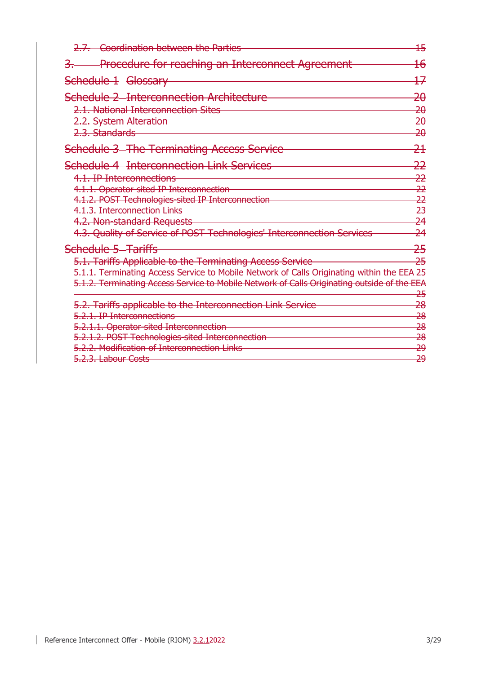| 2.7. Coordination between the Parties                                                                                                                                                                                                                                                                                | $\overline{15}$                                                           |
|----------------------------------------------------------------------------------------------------------------------------------------------------------------------------------------------------------------------------------------------------------------------------------------------------------------------|---------------------------------------------------------------------------|
| <b>Procedure for reaching an Interconnect Agreement</b>                                                                                                                                                                                                                                                              | <del>16</del>                                                             |
| Schedule 1 Glossary                                                                                                                                                                                                                                                                                                  | <del>17</del>                                                             |
| <b>Schedule 2 Interconnection Architecture</b><br>2.1. National Interconnection Sites<br>2.2. System Alteration<br>2.3. Standards                                                                                                                                                                                    | $\overline{20}$<br><del>20</del><br>$\overline{20}$<br><del>20</del>      |
| <b>Schedule 3 The Terminating Access Service</b>                                                                                                                                                                                                                                                                     | <del>21</del>                                                             |
| <b>Schedule 4 Interconnection Link Services</b><br>4.1. IP Interconnections<br>4.1.1. Operator-sited IP Interconnection<br>4.1.2. POST Technologies-sited IP Interconnection<br>4.1.3. Interconnection Links<br>4.2. Non-standard Requests<br>4.3. Quality of Service of POST Technologies' Interconnection Services | <del>22</del><br>22<br>22<br>22<br><del>23</del><br>24<br>$\overline{24}$ |
| Schedule 5 Tariffs<br>5.1. Tariffs Applicable to the Terminating Access Service<br>5.1.1. Terminating Access Service to Mobile Network of Calls Originating within the EEA 25<br>5.1.2. Terminating Access Service to Mobile Network of Calls Originating outside of the EEA                                         | <del>25</del><br>25<br><del>25</del>                                      |
| 5.2. Tariffs applicable to the Interconnection Link Service<br>5.2.1. IP Interconnections<br>5.2.1.1. Operator-sited Interconnection<br>5.2.1.2. POST Technologies-sited Interconnection<br>5.2.2. Modification of Interconnection Links                                                                             | <del>28</del><br><del>28</del><br>28<br><del>28</del><br><del>29</del>    |
| 5.2.3. Labour Costs                                                                                                                                                                                                                                                                                                  | <del>29</del>                                                             |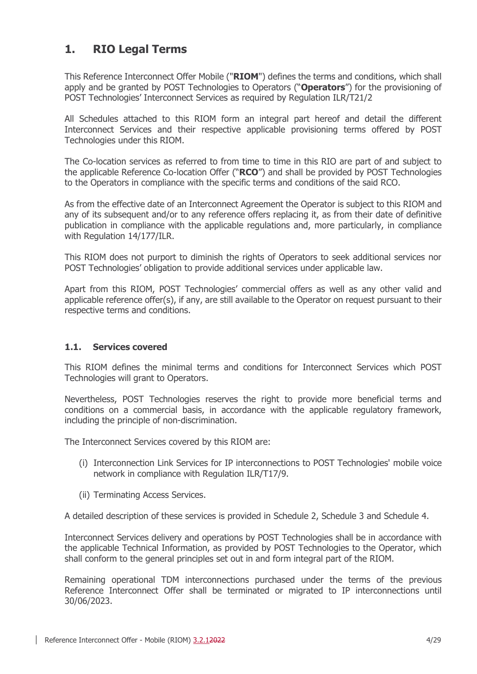## **1. RIO Legal Terms**

This Reference Interconnect Offer Mobile ("**RIOM**") defines the terms and conditions, which shall apply and be granted by POST Technologies to Operators ("**Operators**") for the provisioning of POST Technologies' Interconnect Services as required by Regulation ILR/T21/2

All Schedules attached to this RIOM form an integral part hereof and detail the different Interconnect Services and their respective applicable provisioning terms offered by POST Technologies under this RIOM.

The Co-location services as referred to from time to time in this RIO are part of and subject to the applicable Reference Co-location Offer ("**RCO**") and shall be provided by POST Technologies to the Operators in compliance with the specific terms and conditions of the said RCO.

As from the effective date of an Interconnect Agreement the Operator is subject to this RIOM and any of its subsequent and/or to any reference offers replacing it, as from their date of definitive publication in compliance with the applicable regulations and, more particularly, in compliance with Regulation 14/177/ILR.

This RIOM does not purport to diminish the rights of Operators to seek additional services nor POST Technologies' obligation to provide additional services under applicable law.

Apart from this RIOM, POST Technologies' commercial offers as well as any other valid and applicable reference offer(s), if any, are still available to the Operator on request pursuant to their respective terms and conditions.

## **1.1. Services covered**

This RIOM defines the minimal terms and conditions for Interconnect Services which POST Technologies will grant to Operators.

Nevertheless, POST Technologies reserves the right to provide more beneficial terms and conditions on a commercial basis, in accordance with the applicable regulatory framework, including the principle of non-discrimination.

The Interconnect Services covered by this RIOM are:

- (i) Interconnection Link Services for IP interconnections to POST Technologies' mobile voice network in compliance with Regulation ILR/T17/9.
- (ii) Terminating Access Services.

A detailed description of these services is provided in [Schedule 2,](#page-19-0) [Schedule 3](#page-20-0) and [Schedule 4.](#page-21-0)

Interconnect Services delivery and operations by POST Technologies shall be in accordance with the applicable Technical Information, as provided by POST Technologies to the Operator, which shall conform to the general principles set out in and form integral part of the RIOM.

Remaining operational TDM interconnections purchased under the terms of the previous Reference Interconnect Offer shall be terminated or migrated to IP interconnections until 30/06/2023.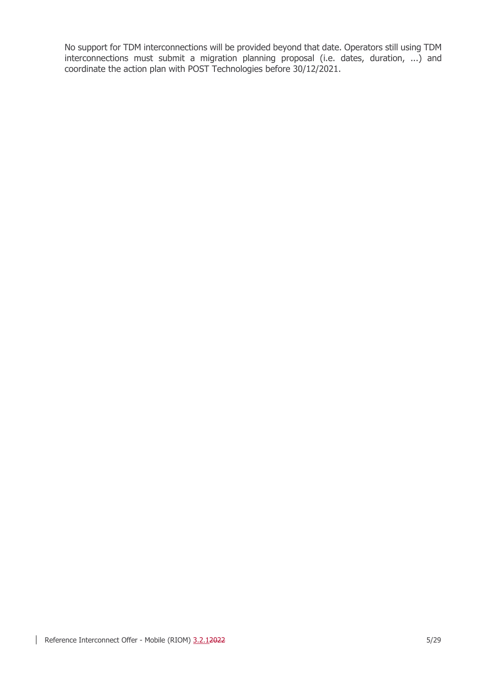No support for TDM interconnections will be provided beyond that date. Operators still using TDM interconnections must submit a migration planning proposal (i.e. dates, duration, ...) and coordinate the action plan with POST Technologies before 30/12/2021.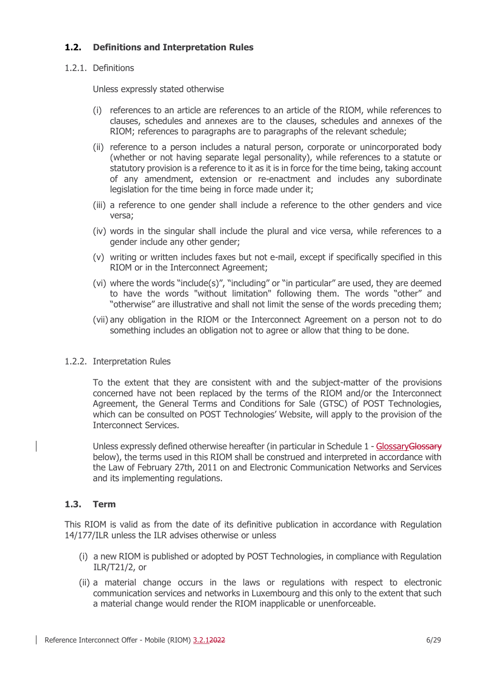## **1.2. Definitions and Interpretation Rules**

## 1.2.1. Definitions

Unless expressly stated otherwise

- (i) references to an article are references to an article of the RIOM, while references to clauses, schedules and annexes are to the clauses, schedules and annexes of the RIOM; references to paragraphs are to paragraphs of the relevant schedule;
- (ii) reference to a person includes a natural person, corporate or unincorporated body (whether or not having separate legal personality), while references to a statute or statutory provision is a reference to it as it is in force for the time being, taking account of any amendment, extension or re-enactment and includes any subordinate legislation for the time being in force made under it;
- (iii) a reference to one gender shall include a reference to the other genders and vice versa;
- (iv) words in the singular shall include the plural and vice versa, while references to a gender include any other gender;
- (v) writing or written includes faxes but not e-mail, except if specifically specified in this RIOM or in the Interconnect Agreement;
- (vi) where the words "include(s)", "including" or "in particular" are used, they are deemed to have the words "without limitation" following them. The words "other" and "otherwise" are illustrative and shall not limit the sense of the words preceding them;
- (vii) any obligation in the RIOM or the Interconnect Agreement on a person not to do something includes an obligation not to agree or allow that thing to be done.

#### 1.2.2. Interpretation Rules

To the extent that they are consistent with and the subject-matter of the provisions concerned have not been replaced by the terms of the RIOM and/or the Interconnect Agreement, the General Terms and Conditions for Sale (GTSC) of POST Technologies, which can be consulted on POST Technologies' Website, will apply to the provision of the Interconnect Services.

Unless expressly defined otherwise hereafter (in particular in [Schedule 1](#page-16-0) - Glossary Glossary [below\)](#page-16-0), the terms used in this RIOM shall be construed and interpreted in accordance with the Law of February 27th, 2011 on and Electronic Communication Networks and Services and its implementing regulations.

## **1.3. Term**

This RIOM is valid as from the date of its definitive publication in accordance with Regulation 14/177/ILR unless the ILR advises otherwise or unless

- (i) a new RIOM is published or adopted by POST Technologies, in compliance with Regulation ILR/T21/2, or
- (ii) a material change occurs in the laws or regulations with respect to electronic communication services and networks in Luxembourg and this only to the extent that such a material change would render the RIOM inapplicable or unenforceable.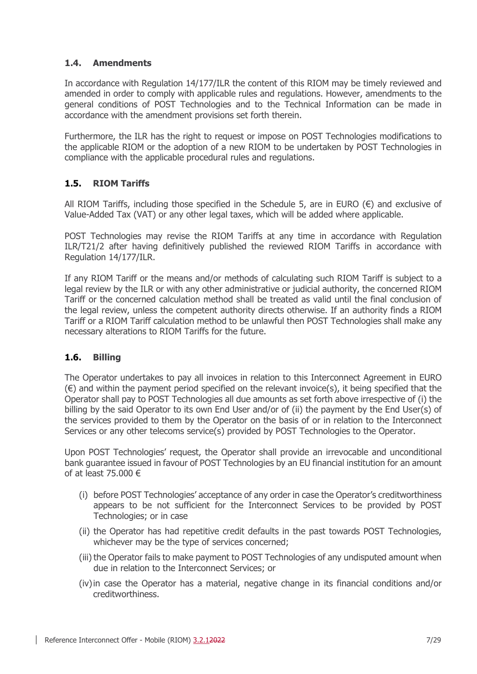## **1.4. Amendments**

In accordance with Regulation 14/177/ILR the content of this RIOM may be timely reviewed and amended in order to comply with applicable rules and regulations. However, amendments to the general conditions of POST Technologies and to the Technical Information can be made in accordance with the amendment provisions set forth therein.

Furthermore, the ILR has the right to request or impose on POST Technologies modifications to the applicable RIOM or the adoption of a new RIOM to be undertaken by POST Technologies in compliance with the applicable procedural rules and regulations.

## **1.5. RIOM Tariffs**

All RIOM Tariffs, including those specified in the [Schedule 5](#page-24-1), are in EURO  $(\epsilon)$  and exclusive of Value-Added Tax (VAT) or any other legal taxes, which will be added where applicable.

POST Technologies may revise the RIOM Tariffs at any time in accordance with Regulation ILR/T21/2 after having definitively published the reviewed RIOM Tariffs in accordance with Regulation 14/177/ILR.

If any RIOM Tariff or the means and/or methods of calculating such RIOM Tariff is subject to a legal review by the ILR or with any other administrative or judicial authority, the concerned RIOM Tariff or the concerned calculation method shall be treated as valid until the final conclusion of the legal review, unless the competent authority directs otherwise. If an authority finds a RIOM Tariff or a RIOM Tariff calculation method to be unlawful then POST Technologies shall make any necessary alterations to RIOM Tariffs for the future.

## **1.6. Billing**

The Operator undertakes to pay all invoices in relation to this Interconnect Agreement in EURO  $(\epsilon)$  and within the payment period specified on the relevant invoice(s), it being specified that the Operator shall pay to POST Technologies all due amounts as set forth above irrespective of (i) the billing by the said Operator to its own End User and/or of (ii) the payment by the End User(s) of the services provided to them by the Operator on the basis of or in relation to the Interconnect Services or any other telecoms service(s) provided by POST Technologies to the Operator.

Upon POST Technologies' request, the Operator shall provide an irrevocable and unconditional bank guarantee issued in favour of POST Technologies by an EU financial institution for an amount of at least 75.000 €

- (i) before POST Technologies' acceptance of any order in case the Operator's creditworthiness appears to be not sufficient for the Interconnect Services to be provided by POST Technologies; or in case
- (ii) the Operator has had repetitive credit defaults in the past towards POST Technologies, whichever may be the type of services concerned;
- (iii) the Operator fails to make payment to POST Technologies of any undisputed amount when due in relation to the Interconnect Services; or
- (iv)in case the Operator has a material, negative change in its financial conditions and/or creditworthiness.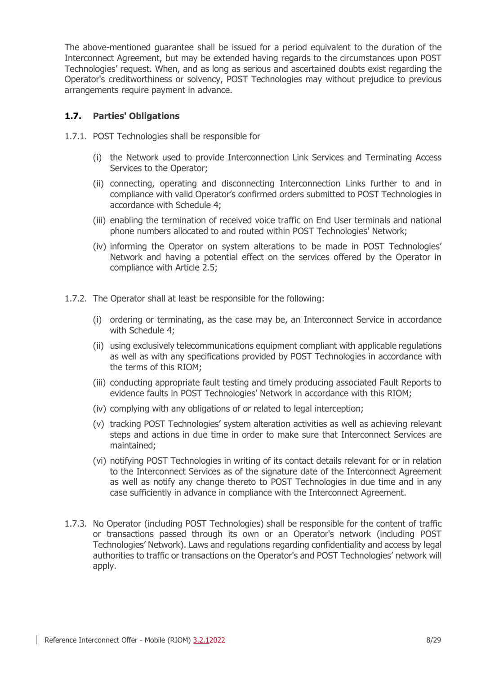The above-mentioned guarantee shall be issued for a period equivalent to the duration of the Interconnect Agreement, but may be extended having regards to the circumstances upon POST Technologies' request. When, and as long as serious and ascertained doubts exist regarding the Operator's creditworthiness or solvency, POST Technologies may without prejudice to previous arrangements require payment in advance.

## **1.7. Parties' Obligations**

- 1.7.1. POST Technologies shall be responsible for
	- (i) the Network used to provide Interconnection Link Services and Terminating Access Services to the Operator;
	- (ii) connecting, operating and disconnecting Interconnection Links further to and in compliance with valid Operator's confirmed orders submitted to POST Technologies in accordance with [Schedule 4;](#page-21-0)
	- (iii) enabling the termination of received voice traffic on End User terminals and national phone numbers allocated to and routed within POST Technologies' Network;
	- (iv) informing the Operator on system alterations to be made in POST Technologies' Network and having a potential effect on the services offered by the Operator in compliance with Article [2.5;](#page-13-0)
- 1.7.2. The Operator shall at least be responsible for the following:
	- (i) ordering or terminating, as the case may be, an Interconnect Service in accordance with [Schedule 4;](#page-21-0)
	- (ii) using exclusively telecommunications equipment compliant with applicable regulations as well as with any specifications provided by POST Technologies in accordance with the terms of this RIOM;
	- (iii) conducting appropriate fault testing and timely producing associated Fault Reports to evidence faults in POST Technologies' Network in accordance with this RIOM;
	- (iv) complying with any obligations of or related to legal interception;
	- (v) tracking POST Technologies' system alteration activities as well as achieving relevant steps and actions in due time in order to make sure that Interconnect Services are maintained;
	- (vi) notifying POST Technologies in writing of its contact details relevant for or in relation to the Interconnect Services as of the signature date of the Interconnect Agreement as well as notify any change thereto to POST Technologies in due time and in any case sufficiently in advance in compliance with the Interconnect Agreement.
- 1.7.3. No Operator (including POST Technologies) shall be responsible for the content of traffic or transactions passed through its own or an Operator's network (including POST Technologies' Network). Laws and regulations regarding confidentiality and access by legal authorities to traffic or transactions on the Operator's and POST Technologies' network will apply.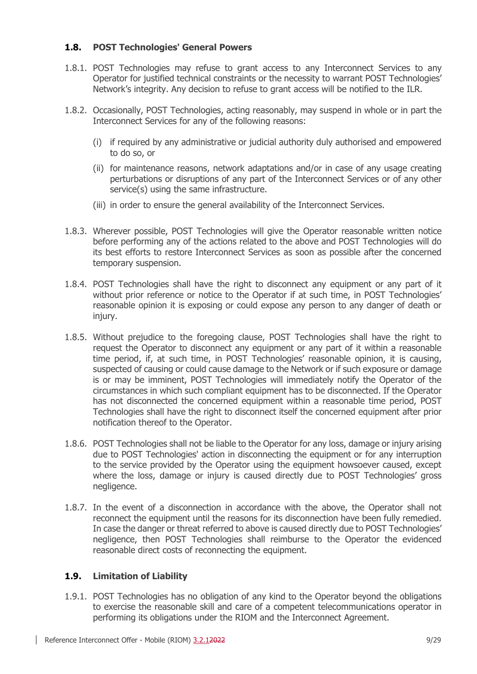## **1.8. POST Technologies' General Powers**

- 1.8.1. POST Technologies may refuse to grant access to any Interconnect Services to any Operator for justified technical constraints or the necessity to warrant POST Technologies' Network's integrity. Any decision to refuse to grant access will be notified to the ILR.
- 1.8.2. Occasionally, POST Technologies, acting reasonably, may suspend in whole or in part the Interconnect Services for any of the following reasons:
	- (i) if required by any administrative or judicial authority duly authorised and empowered to do so, or
	- (ii) for maintenance reasons, network adaptations and/or in case of any usage creating perturbations or disruptions of any part of the Interconnect Services or of any other service(s) using the same infrastructure.
	- (iii) in order to ensure the general availability of the Interconnect Services.
- 1.8.3. Wherever possible, POST Technologies will give the Operator reasonable written notice before performing any of the actions related to the above and POST Technologies will do its best efforts to restore Interconnect Services as soon as possible after the concerned temporary suspension.
- 1.8.4. POST Technologies shall have the right to disconnect any equipment or any part of it without prior reference or notice to the Operator if at such time, in POST Technologies' reasonable opinion it is exposing or could expose any person to any danger of death or injury.
- 1.8.5. Without prejudice to the foregoing clause, POST Technologies shall have the right to request the Operator to disconnect any equipment or any part of it within a reasonable time period, if, at such time, in POST Technologies' reasonable opinion, it is causing, suspected of causing or could cause damage to the Network or if such exposure or damage is or may be imminent, POST Technologies will immediately notify the Operator of the circumstances in which such compliant equipment has to be disconnected. If the Operator has not disconnected the concerned equipment within a reasonable time period, POST Technologies shall have the right to disconnect itself the concerned equipment after prior notification thereof to the Operator.
- 1.8.6. POST Technologies shall not be liable to the Operator for any loss, damage or injury arising due to POST Technologies' action in disconnecting the equipment or for any interruption to the service provided by the Operator using the equipment howsoever caused, except where the loss, damage or injury is caused directly due to POST Technologies' gross negligence.
- 1.8.7. In the event of a disconnection in accordance with the above, the Operator shall not reconnect the equipment until the reasons for its disconnection have been fully remedied. In case the danger or threat referred to above is caused directly due to POST Technologies' negligence, then POST Technologies shall reimburse to the Operator the evidenced reasonable direct costs of reconnecting the equipment.

## **1.9. Limitation of Liability**

1.9.1. POST Technologies has no obligation of any kind to the Operator beyond the obligations to exercise the reasonable skill and care of a competent telecommunications operator in performing its obligations under the RIOM and the Interconnect Agreement.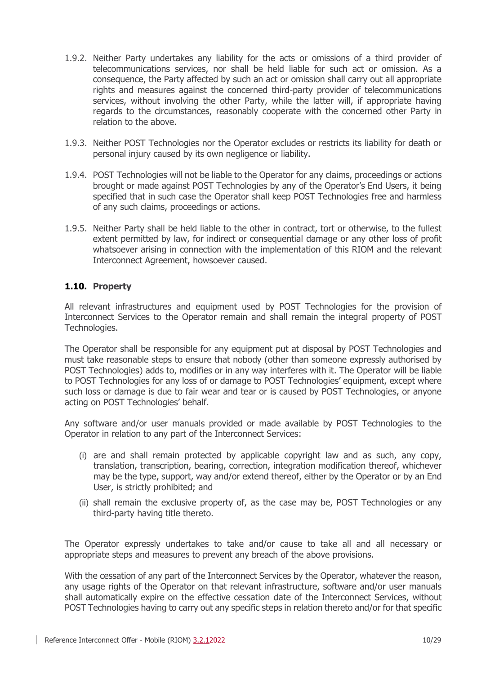- 1.9.2. Neither Party undertakes any liability for the acts or omissions of a third provider of telecommunications services, nor shall be held liable for such act or omission. As a consequence, the Party affected by such an act or omission shall carry out all appropriate rights and measures against the concerned third-party provider of telecommunications services, without involving the other Party, while the latter will, if appropriate having regards to the circumstances, reasonably cooperate with the concerned other Party in relation to the above.
- 1.9.3. Neither POST Technologies nor the Operator excludes or restricts its liability for death or personal injury caused by its own negligence or liability.
- 1.9.4. POST Technologies will not be liable to the Operator for any claims, proceedings or actions brought or made against POST Technologies by any of the Operator's End Users, it being specified that in such case the Operator shall keep POST Technologies free and harmless of any such claims, proceedings or actions.
- 1.9.5. Neither Party shall be held liable to the other in contract, tort or otherwise, to the fullest extent permitted by law, for indirect or consequential damage or any other loss of profit whatsoever arising in connection with the implementation of this RIOM and the relevant Interconnect Agreement, howsoever caused.

## **1.10. Property**

All relevant infrastructures and equipment used by POST Technologies for the provision of Interconnect Services to the Operator remain and shall remain the integral property of POST Technologies.

The Operator shall be responsible for any equipment put at disposal by POST Technologies and must take reasonable steps to ensure that nobody (other than someone expressly authorised by POST Technologies) adds to, modifies or in any way interferes with it. The Operator will be liable to POST Technologies for any loss of or damage to POST Technologies' equipment, except where such loss or damage is due to fair wear and tear or is caused by POST Technologies, or anyone acting on POST Technologies' behalf.

Any software and/or user manuals provided or made available by POST Technologies to the Operator in relation to any part of the Interconnect Services:

- (i) are and shall remain protected by applicable copyright law and as such, any copy, translation, transcription, bearing, correction, integration modification thereof, whichever may be the type, support, way and/or extend thereof, either by the Operator or by an End User, is strictly prohibited; and
- (ii) shall remain the exclusive property of, as the case may be, POST Technologies or any third-party having title thereto.

The Operator expressly undertakes to take and/or cause to take all and all necessary or appropriate steps and measures to prevent any breach of the above provisions.

With the cessation of any part of the Interconnect Services by the Operator, whatever the reason, any usage rights of the Operator on that relevant infrastructure, software and/or user manuals shall automatically expire on the effective cessation date of the Interconnect Services, without POST Technologies having to carry out any specific steps in relation thereto and/or for that specific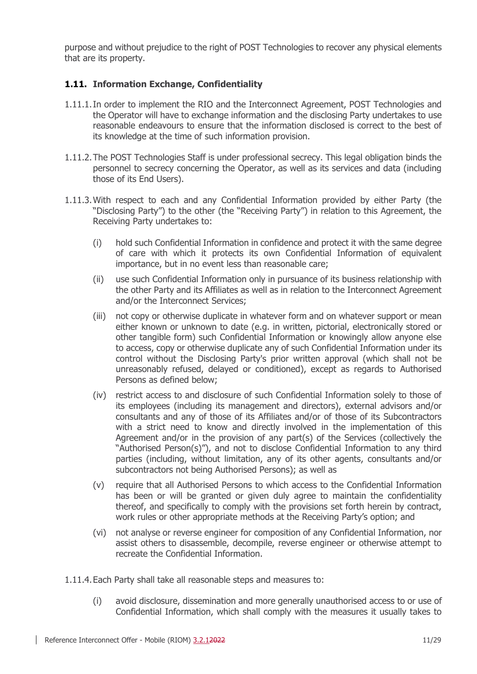purpose and without prejudice to the right of POST Technologies to recover any physical elements that are its property.

## <span id="page-10-0"></span>**1.11. Information Exchange, Confidentiality**

- 1.11.1.In order to implement the RIO and the Interconnect Agreement, POST Technologies and the Operator will have to exchange information and the disclosing Party undertakes to use reasonable endeavours to ensure that the information disclosed is correct to the best of its knowledge at the time of such information provision.
- 1.11.2.The POST Technologies Staff is under professional secrecy. This legal obligation binds the personnel to secrecy concerning the Operator, as well as its services and data (including those of its End Users).
- 1.11.3.With respect to each and any Confidential Information provided by either Party (the "Disclosing Party") to the other (the "Receiving Party") in relation to this Agreement, the Receiving Party undertakes to:
	- (i) hold such Confidential Information in confidence and protect it with the same degree of care with which it protects its own Confidential Information of equivalent importance, but in no event less than reasonable care;
	- (ii) use such Confidential Information only in pursuance of its business relationship with the other Party and its Affiliates as well as in relation to the Interconnect Agreement and/or the Interconnect Services;
	- (iii) not copy or otherwise duplicate in whatever form and on whatever support or mean either known or unknown to date (e.g. in written, pictorial, electronically stored or other tangible form) such Confidential Information or knowingly allow anyone else to access, copy or otherwise duplicate any of such Confidential Information under its control without the Disclosing Party's prior written approval (which shall not be unreasonably refused, delayed or conditioned), except as regards to Authorised Persons as defined below;
	- (iv) restrict access to and disclosure of such Confidential Information solely to those of its employees (including its management and directors), external advisors and/or consultants and any of those of its Affiliates and/or of those of its Subcontractors with a strict need to know and directly involved in the implementation of this Agreement and/or in the provision of any part(s) of the Services (collectively the "Authorised Person(s)"), and not to disclose Confidential Information to any third parties (including, without limitation, any of its other agents, consultants and/or subcontractors not being Authorised Persons); as well as
	- (v) require that all Authorised Persons to which access to the Confidential Information has been or will be granted or given duly agree to maintain the confidentiality thereof, and specifically to comply with the provisions set forth herein by contract, work rules or other appropriate methods at the Receiving Party's option; and
	- (vi) not analyse or reverse engineer for composition of any Confidential Information, nor assist others to disassemble, decompile, reverse engineer or otherwise attempt to recreate the Confidential Information.
- 1.11.4.Each Party shall take all reasonable steps and measures to:
	- (i) avoid disclosure, dissemination and more generally unauthorised access to or use of Confidential Information, which shall comply with the measures it usually takes to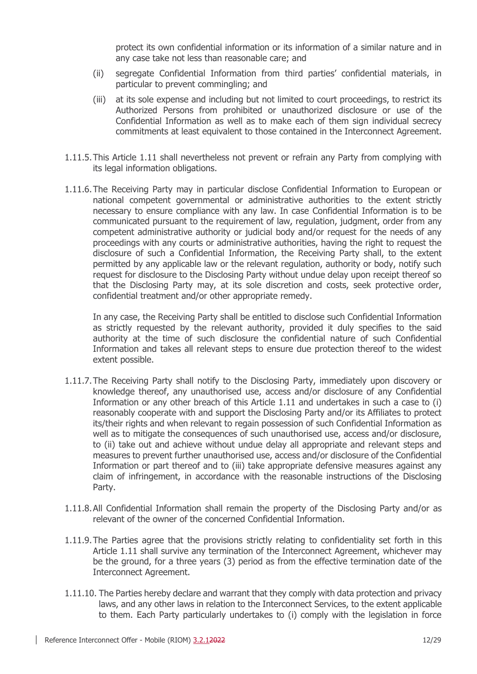protect its own confidential information or its information of a similar nature and in any case take not less than reasonable care; and

- (ii) segregate Confidential Information from third parties' confidential materials, in particular to prevent commingling; and
- (iii) at its sole expense and including but not limited to court proceedings, to restrict its Authorized Persons from prohibited or unauthorized disclosure or use of the Confidential Information as well as to make each of them sign individual secrecy commitments at least equivalent to those contained in the Interconnect Agreement.
- 1.11.5.This Article [1.11](#page-10-0) shall nevertheless not prevent or refrain any Party from complying with its legal information obligations.
- 1.11.6.The Receiving Party may in particular disclose Confidential Information to European or national competent governmental or administrative authorities to the extent strictly necessary to ensure compliance with any law. In case Confidential Information is to be communicated pursuant to the requirement of law, regulation, judgment, order from any competent administrative authority or judicial body and/or request for the needs of any proceedings with any courts or administrative authorities, having the right to request the disclosure of such a Confidential Information, the Receiving Party shall, to the extent permitted by any applicable law or the relevant regulation, authority or body, notify such request for disclosure to the Disclosing Party without undue delay upon receipt thereof so that the Disclosing Party may, at its sole discretion and costs, seek protective order, confidential treatment and/or other appropriate remedy.

In any case, the Receiving Party shall be entitled to disclose such Confidential Information as strictly requested by the relevant authority, provided it duly specifies to the said authority at the time of such disclosure the confidential nature of such Confidential Information and takes all relevant steps to ensure due protection thereof to the widest extent possible.

- 1.11.7.The Receiving Party shall notify to the Disclosing Party, immediately upon discovery or knowledge thereof, any unauthorised use, access and/or disclosure of any Confidential Information or any other breach of this Article [1.11](#page-10-0) and undertakes in such a case to (i) reasonably cooperate with and support the Disclosing Party and/or its Affiliates to protect its/their rights and when relevant to regain possession of such Confidential Information as well as to mitigate the consequences of such unauthorised use, access and/or disclosure, to (ii) take out and achieve without undue delay all appropriate and relevant steps and measures to prevent further unauthorised use, access and/or disclosure of the Confidential Information or part thereof and to (iii) take appropriate defensive measures against any claim of infringement, in accordance with the reasonable instructions of the Disclosing Party.
- 1.11.8.All Confidential Information shall remain the property of the Disclosing Party and/or as relevant of the owner of the concerned Confidential Information.
- 1.11.9.The Parties agree that the provisions strictly relating to confidentiality set forth in this Article [1.11](#page-10-0) shall survive any termination of the Interconnect Agreement, whichever may be the ground, for a three years (3) period as from the effective termination date of the Interconnect Agreement.
- 1.11.10. The Parties hereby declare and warrant that they comply with data protection and privacy laws, and any other laws in relation to the Interconnect Services, to the extent applicable to them. Each Party particularly undertakes to (i) comply with the legislation in force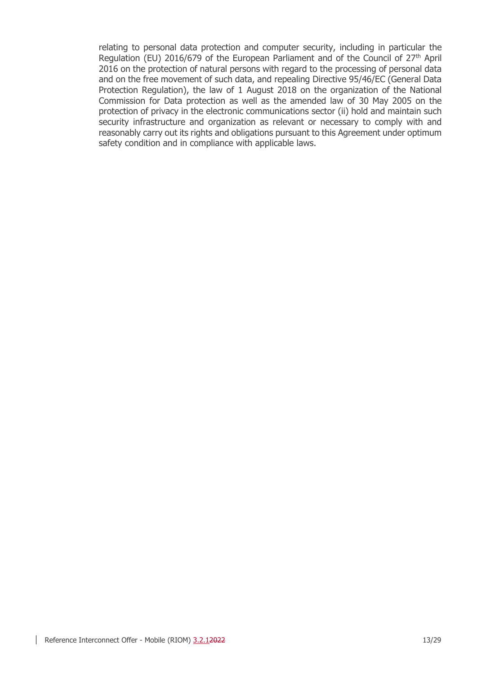relating to personal data protection and computer security, including in particular the Regulation (EU) 2016/679 of the European Parliament and of the Council of  $27<sup>th</sup>$  April 2016 on the protection of natural persons with regard to the processing of personal data and on the free movement of such data, and repealing Directive 95/46/EC (General Data Protection Regulation), the law of 1 August 2018 on the organization of the National Commission for Data protection as well as the amended law of 30 May 2005 on the protection of privacy in the electronic communications sector (ii) hold and maintain such security infrastructure and organization as relevant or necessary to comply with and reasonably carry out its rights and obligations pursuant to this Agreement under optimum safety condition and in compliance with applicable laws.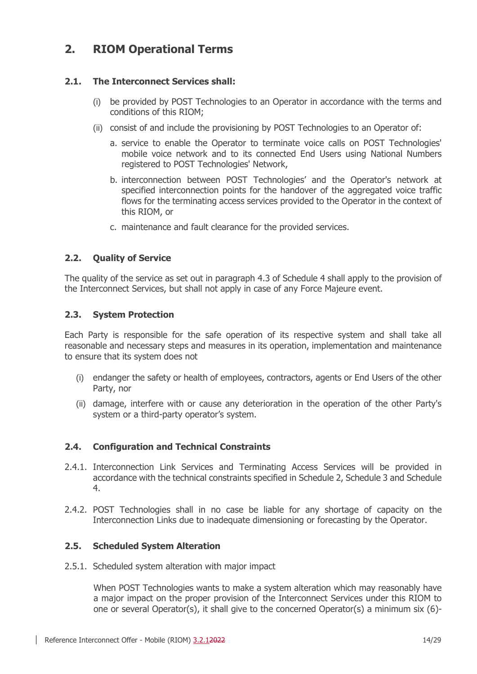## **2. RIOM Operational Terms**

## **2.1. The Interconnect Services shall:**

- (i) be provided by POST Technologies to an Operator in accordance with the terms and conditions of this RIOM;
- (ii) consist of and include the provisioning by POST Technologies to an Operator of:
	- a. service to enable the Operator to terminate voice calls on POST Technologies' mobile voice network and to its connected End Users using National Numbers registered to POST Technologies' Network,
	- b. interconnection between POST Technologies' and the Operator's network at specified interconnection points for the handover of the aggregated voice traffic flows for the terminating access services provided to the Operator in the context of this RIOM, or
	- c. maintenance and fault clearance for the provided services.

## **2.2. Quality of Service**

The quality of the service as set out in paragraph [4.3](#page-23-1) of [Schedule 4](#page-21-0) shall apply to the provision of the Interconnect Services, but shall not apply in case of any Force Majeure event.

#### **2.3. System Protection**

Each Party is responsible for the safe operation of its respective system and shall take all reasonable and necessary steps and measures in its operation, implementation and maintenance to ensure that its system does not

- (i) endanger the safety or health of employees, contractors, agents or End Users of the other Party, nor
- (ii) damage, interfere with or cause any deterioration in the operation of the other Party's system or a third-party operator's system.

## **2.4. Configuration and Technical Constraints**

- 2.4.1. Interconnection Link Services and Terminating Access Services will be provided in accordance with the technical constraints specified in [Schedule 2,](#page-19-0) [Schedule 3](#page-20-0) and [Schedule](#page-21-0)  [4.](#page-21-0)
- 2.4.2. POST Technologies shall in no case be liable for any shortage of capacity on the Interconnection Links due to inadequate dimensioning or forecasting by the Operator.

## <span id="page-13-0"></span>**2.5. Scheduled System Alteration**

2.5.1. Scheduled system alteration with major impact

When POST Technologies wants to make a system alteration which may reasonably have a major impact on the proper provision of the Interconnect Services under this RIOM to one or several Operator(s), it shall give to the concerned Operator(s) a minimum six (6)-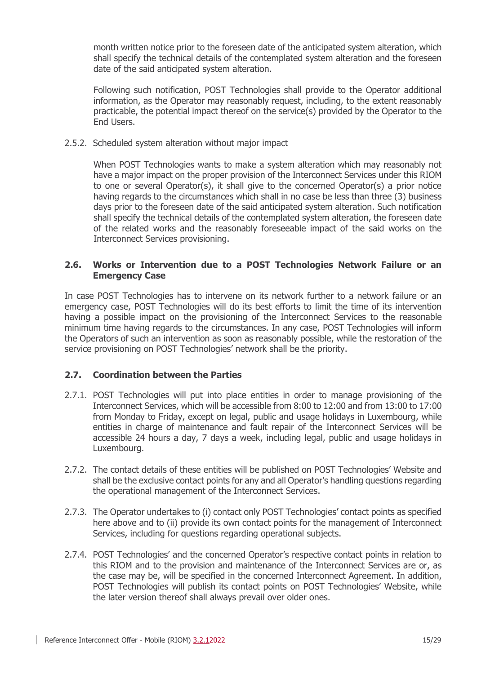month written notice prior to the foreseen date of the anticipated system alteration, which shall specify the technical details of the contemplated system alteration and the foreseen date of the said anticipated system alteration.

Following such notification, POST Technologies shall provide to the Operator additional information, as the Operator may reasonably request, including, to the extent reasonably practicable, the potential impact thereof on the service(s) provided by the Operator to the End Users.

2.5.2. Scheduled system alteration without major impact

When POST Technologies wants to make a system alteration which may reasonably not have a major impact on the proper provision of the Interconnect Services under this RIOM to one or several Operator(s), it shall give to the concerned Operator(s) a prior notice having regards to the circumstances which shall in no case be less than three (3) business days prior to the foreseen date of the said anticipated system alteration. Such notification shall specify the technical details of the contemplated system alteration, the foreseen date of the related works and the reasonably foreseeable impact of the said works on the Interconnect Services provisioning.

### **2.6. Works or Intervention due to a POST Technologies Network Failure or an Emergency Case**

In case POST Technologies has to intervene on its network further to a network failure or an emergency case, POST Technologies will do its best efforts to limit the time of its intervention having a possible impact on the provisioning of the Interconnect Services to the reasonable minimum time having regards to the circumstances. In any case, POST Technologies will inform the Operators of such an intervention as soon as reasonably possible, while the restoration of the service provisioning on POST Technologies' network shall be the priority.

## **2.7. Coordination between the Parties**

- 2.7.1. POST Technologies will put into place entities in order to manage provisioning of the Interconnect Services, which will be accessible from 8:00 to 12:00 and from 13:00 to 17:00 from Monday to Friday, except on legal, public and usage holidays in Luxembourg, while entities in charge of maintenance and fault repair of the Interconnect Services will be accessible 24 hours a day, 7 days a week, including legal, public and usage holidays in Luxembourg.
- 2.7.2. The contact details of these entities will be published on POST Technologies' Website and shall be the exclusive contact points for any and all Operator's handling questions regarding the operational management of the Interconnect Services.
- 2.7.3. The Operator undertakes to (i) contact only POST Technologies' contact points as specified here above and to (ii) provide its own contact points for the management of Interconnect Services, including for questions regarding operational subjects.
- 2.7.4. POST Technologies' and the concerned Operator's respective contact points in relation to this RIOM and to the provision and maintenance of the Interconnect Services are or, as the case may be, will be specified in the concerned Interconnect Agreement. In addition, POST Technologies will publish its contact points on POST Technologies' Website, while the later version thereof shall always prevail over older ones.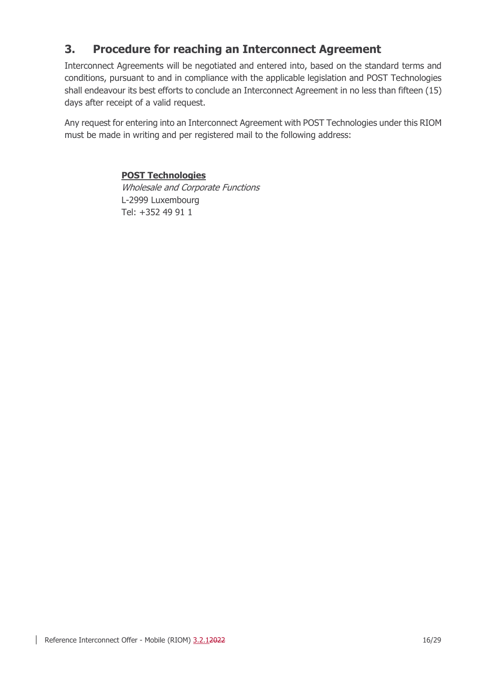## <span id="page-15-0"></span>**3. Procedure for reaching an Interconnect Agreement**

Interconnect Agreements will be negotiated and entered into, based on the standard terms and conditions, pursuant to and in compliance with the applicable legislation and POST Technologies shall endeavour its best efforts to conclude an Interconnect Agreement in no less than fifteen (15) days after receipt of a valid request.

Any request for entering into an Interconnect Agreement with POST Technologies under this RIOM must be made in writing and per registered mail to the following address:

## **POST Technologies**

Wholesale and Corporate Functions L-2999 Luxembourg Tel: +352 49 91 1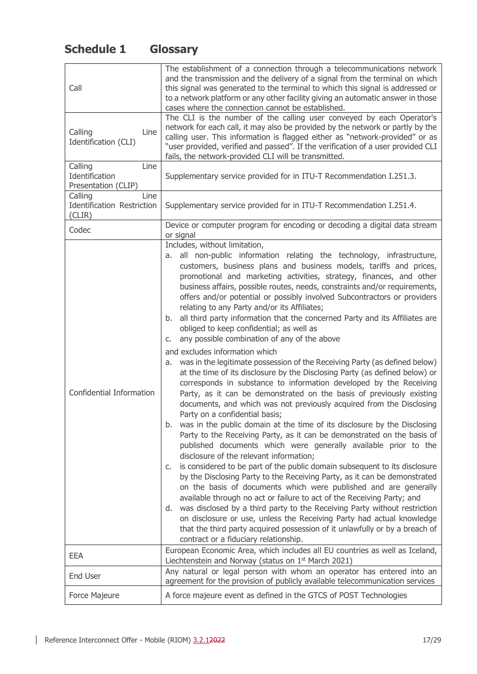## <span id="page-16-0"></span>**Schedule 1 Glossary**

| Call                                                           | The establishment of a connection through a telecommunications network<br>and the transmission and the delivery of a signal from the terminal on which<br>this signal was generated to the terminal to which this signal is addressed or<br>to a network platform or any other facility giving an automatic answer in those<br>cases where the connection cannot be established.                                                                                                                                                                                                                                                                                                                                                                                                                                                                                                                                                                                                                                                                                                                                                                                                                                                                                                                                                                                                                                                                                                                                                                                                                                                                                                                                                                                                                                                                                                                                                                                                                 |  |  |
|----------------------------------------------------------------|--------------------------------------------------------------------------------------------------------------------------------------------------------------------------------------------------------------------------------------------------------------------------------------------------------------------------------------------------------------------------------------------------------------------------------------------------------------------------------------------------------------------------------------------------------------------------------------------------------------------------------------------------------------------------------------------------------------------------------------------------------------------------------------------------------------------------------------------------------------------------------------------------------------------------------------------------------------------------------------------------------------------------------------------------------------------------------------------------------------------------------------------------------------------------------------------------------------------------------------------------------------------------------------------------------------------------------------------------------------------------------------------------------------------------------------------------------------------------------------------------------------------------------------------------------------------------------------------------------------------------------------------------------------------------------------------------------------------------------------------------------------------------------------------------------------------------------------------------------------------------------------------------------------------------------------------------------------------------------------------------|--|--|
| Calling<br>Line<br>Identification (CLI)                        | The CLI is the number of the calling user conveyed by each Operator's<br>network for each call, it may also be provided by the network or partly by the<br>calling user. This information is flagged either as "network-provided" or as<br>"user provided, verified and passed". If the verification of a user provided CLI<br>fails, the network-provided CLI will be transmitted.                                                                                                                                                                                                                                                                                                                                                                                                                                                                                                                                                                                                                                                                                                                                                                                                                                                                                                                                                                                                                                                                                                                                                                                                                                                                                                                                                                                                                                                                                                                                                                                                              |  |  |
| Calling<br>Line<br>Identification<br>Presentation (CLIP)       | Supplementary service provided for in ITU-T Recommendation I.251.3.                                                                                                                                                                                                                                                                                                                                                                                                                                                                                                                                                                                                                                                                                                                                                                                                                                                                                                                                                                                                                                                                                                                                                                                                                                                                                                                                                                                                                                                                                                                                                                                                                                                                                                                                                                                                                                                                                                                              |  |  |
| Line<br>Calling<br><b>Identification Restriction</b><br>(CLIR) | Supplementary service provided for in ITU-T Recommendation I.251.4.                                                                                                                                                                                                                                                                                                                                                                                                                                                                                                                                                                                                                                                                                                                                                                                                                                                                                                                                                                                                                                                                                                                                                                                                                                                                                                                                                                                                                                                                                                                                                                                                                                                                                                                                                                                                                                                                                                                              |  |  |
| Codec                                                          | Device or computer program for encoding or decoding a digital data stream<br>or signal                                                                                                                                                                                                                                                                                                                                                                                                                                                                                                                                                                                                                                                                                                                                                                                                                                                                                                                                                                                                                                                                                                                                                                                                                                                                                                                                                                                                                                                                                                                                                                                                                                                                                                                                                                                                                                                                                                           |  |  |
| Confidential Information                                       | Includes, without limitation,<br>all non-public information relating the technology, infrastructure,<br>а.<br>customers, business plans and business models, tariffs and prices,<br>promotional and marketing activities, strategy, finances, and other<br>business affairs, possible routes, needs, constraints and/or requirements,<br>offers and/or potential or possibly involved Subcontractors or providers<br>relating to any Party and/or its Affiliates;<br>all third party information that the concerned Party and its Affiliates are<br>b.<br>obliged to keep confidential; as well as<br>any possible combination of any of the above<br>C.<br>and excludes information which<br>was in the legitimate possession of the Receiving Party (as defined below)<br>a.<br>at the time of its disclosure by the Disclosing Party (as defined below) or<br>corresponds in substance to information developed by the Receiving<br>Party, as it can be demonstrated on the basis of previously existing<br>documents, and which was not previously acquired from the Disclosing<br>Party on a confidential basis;<br>was in the public domain at the time of its disclosure by the Disclosing<br>b.<br>Party to the Receiving Party, as it can be demonstrated on the basis of<br>published documents which were generally available prior to the<br>disclosure of the relevant information;<br>is considered to be part of the public domain subsequent to its disclosure<br>C.<br>by the Disclosing Party to the Receiving Party, as it can be demonstrated<br>on the basis of documents which were published and are generally<br>available through no act or failure to act of the Receiving Party; and<br>d. was disclosed by a third party to the Receiving Party without restriction<br>on disclosure or use, unless the Receiving Party had actual knowledge<br>that the third party acquired possession of it unlawfully or by a breach of<br>contract or a fiduciary relationship. |  |  |
| <b>EEA</b>                                                     | European Economic Area, which includes all EU countries as well as Iceland,<br>Liechtenstein and Norway (status on 1st March 2021)                                                                                                                                                                                                                                                                                                                                                                                                                                                                                                                                                                                                                                                                                                                                                                                                                                                                                                                                                                                                                                                                                                                                                                                                                                                                                                                                                                                                                                                                                                                                                                                                                                                                                                                                                                                                                                                               |  |  |
| <b>End User</b>                                                | Any natural or legal person with whom an operator has entered into an<br>agreement for the provision of publicly available telecommunication services                                                                                                                                                                                                                                                                                                                                                                                                                                                                                                                                                                                                                                                                                                                                                                                                                                                                                                                                                                                                                                                                                                                                                                                                                                                                                                                                                                                                                                                                                                                                                                                                                                                                                                                                                                                                                                            |  |  |
| Force Majeure                                                  | A force majeure event as defined in the GTCS of POST Technologies                                                                                                                                                                                                                                                                                                                                                                                                                                                                                                                                                                                                                                                                                                                                                                                                                                                                                                                                                                                                                                                                                                                                                                                                                                                                                                                                                                                                                                                                                                                                                                                                                                                                                                                                                                                                                                                                                                                                |  |  |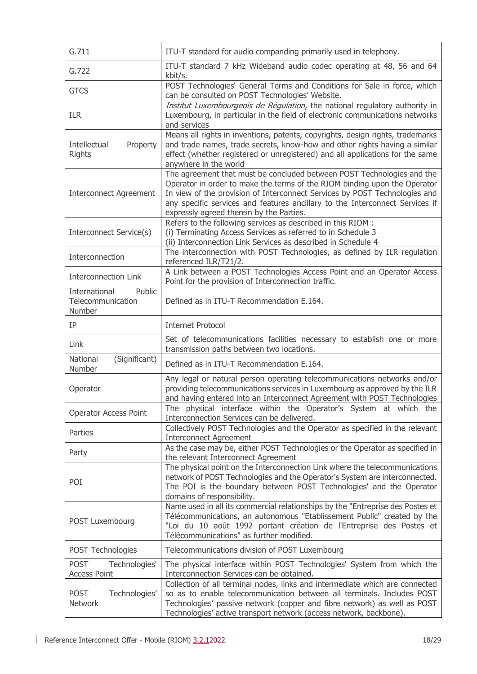| G.711                                                  | ITU-T standard for audio companding primarily used in telephony.                                                                                                                                                                                                                                                                                              |
|--------------------------------------------------------|---------------------------------------------------------------------------------------------------------------------------------------------------------------------------------------------------------------------------------------------------------------------------------------------------------------------------------------------------------------|
| G.722                                                  | ITU-T standard 7 kHz Wideband audio codec operating at 48, 56 and 64<br>kbit/s.                                                                                                                                                                                                                                                                               |
| <b>GTCS</b>                                            | POST Technologies' General Terms and Conditions for Sale in force, which<br>can be consulted on POST Technologies' Website.                                                                                                                                                                                                                                   |
| <b>ILR</b>                                             | Institut Luxembourgeois de Régulation, the national regulatory authority in<br>Luxembourg, in particular in the field of electronic communications networks<br>and services                                                                                                                                                                                   |
| Intellectual<br>Property<br><b>Rights</b>              | Means all rights in inventions, patents, copyrights, design rights, trademarks<br>and trade names, trade secrets, know-how and other rights having a similar<br>effect (whether registered or unregistered) and all applications for the same<br>anywhere in the world                                                                                        |
| <b>Interconnect Agreement</b>                          | The agreement that must be concluded between POST Technologies and the<br>Operator in order to make the terms of the RIOM binding upon the Operator<br>In view of the provision of Interconnect Services by POST Technologies and<br>any specific services and features ancillary to the Interconnect Services if<br>expressly agreed therein by the Parties. |
| Interconnect Service(s)                                | Refers to the following services as described in this RIOM :<br>(i) Terminating Access Services as referred to in Schedule 3<br>(ii) Interconnection Link Services as described in Schedule 4                                                                                                                                                                 |
| Interconnection                                        | The interconnection with POST Technologies, as defined by ILR regulation<br>referenced ILR/T21/2.                                                                                                                                                                                                                                                             |
| <b>Interconnection Link</b>                            | A Link between a POST Technologies Access Point and an Operator Access<br>Point for the provision of Interconnection traffic.                                                                                                                                                                                                                                 |
| International<br>Public<br>Telecommunication<br>Number | Defined as in ITU-T Recommendation E.164.                                                                                                                                                                                                                                                                                                                     |
| IP                                                     | <b>Internet Protocol</b>                                                                                                                                                                                                                                                                                                                                      |
| Link                                                   | Set of telecommunications facilities necessary to establish one or more<br>transmission paths between two locations.                                                                                                                                                                                                                                          |
| National<br>(Significant)<br>Number                    | Defined as in ITU-T Recommendation E.164.                                                                                                                                                                                                                                                                                                                     |
| Operator                                               | Any legal or natural person operating telecommunications networks and/or<br>providing telecommunications services in Luxembourg as approved by the ILR<br>and having entered into an Interconnect Agreement with POST Technologies                                                                                                                            |
| <b>Operator Access Point</b>                           | The physical interface within the Operator's System at which the<br>Interconnection Services can be delivered.                                                                                                                                                                                                                                                |
| Parties                                                | Collectively POST Technologies and the Operator as specified in the relevant<br><b>Interconnect Agreement</b>                                                                                                                                                                                                                                                 |
| Party                                                  | As the case may be, either POST Technologies or the Operator as specified in<br>the relevant Interconnect Agreement                                                                                                                                                                                                                                           |
| POI                                                    | The physical point on the Interconnection Link where the telecommunications<br>network of POST Technologies and the Operator's System are interconnected.<br>The POI is the boundary between POST Technologies' and the Operator<br>domains of responsibility.                                                                                                |
| POST Luxembourg                                        | Name used in all its commercial relationships by the "Entreprise des Postes et<br>Télécommunications, an autonomous "Etablissement Public" created by the<br>"Loi du 10 août 1992 portant création de l'Entreprise des Postes et<br>Télécommunications" as further modified.                                                                                  |
| POST Technologies                                      | Telecommunications division of POST Luxembourg                                                                                                                                                                                                                                                                                                                |
| <b>POST</b><br>Technologies'<br><b>Access Point</b>    | The physical interface within POST Technologies' System from which the<br>Interconnection Services can be obtained.                                                                                                                                                                                                                                           |
| <b>POST</b><br>Technologies'<br><b>Network</b>         | Collection of all terminal nodes, links and intermediate which are connected<br>so as to enable telecommunication between all terminals. Includes POST<br>Technologies' passive network (copper and fibre network) as well as POST<br>Technologies' active transport network (access network, backbone).                                                      |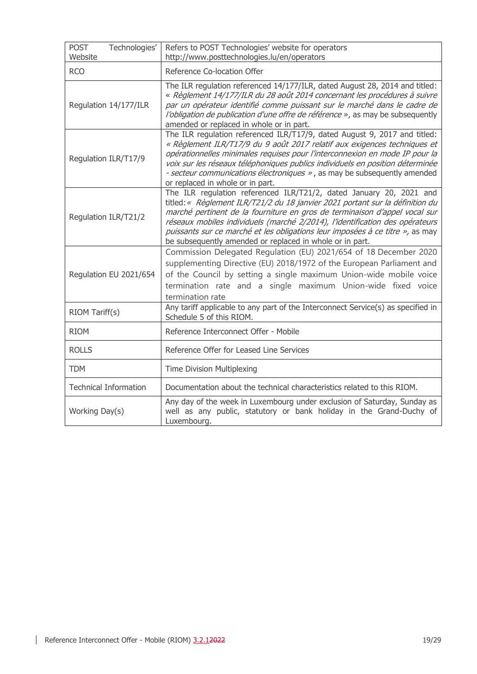| <b>POST</b><br>Technologies'<br>Website | Refers to POST Technologies' website for operators<br>http://www.posttechnologies.lu/en/operators                                                                                                                                                                                                                                                                                                                                                              |
|-----------------------------------------|----------------------------------------------------------------------------------------------------------------------------------------------------------------------------------------------------------------------------------------------------------------------------------------------------------------------------------------------------------------------------------------------------------------------------------------------------------------|
| <b>RCO</b>                              | Reference Co-location Offer                                                                                                                                                                                                                                                                                                                                                                                                                                    |
| Regulation 14/177/ILR                   | The ILR regulation referenced 14/177/ILR, dated August 28, 2014 and titled:<br>« Règlement 14/177/ILR du 28 août 2014 concernant les procédures à suivre<br>par un opérateur identifié comme puissant sur le marché dans le cadre de<br>l'obligation de publication d'une offre de référence », as may be subsequently<br>amended or replaced in whole or in part.                                                                                             |
| Regulation ILR/T17/9                    | The ILR regulation referenced ILR/T17/9, dated August 9, 2017 and titled:<br>« Règlement ILR/T17/9 du 9 août 2017 relatif aux exigences techniques et<br>opérationnelles minimales requises pour l'interconnexion en mode IP pour la<br>voix sur les réseaux téléphoniques publics individuels en position déterminée<br>- secteur communications électroniques », as may be subsequently amended<br>or replaced in whole or in part.                          |
| Regulation ILR/T21/2                    | The ILR regulation referenced ILR/T21/2, dated January 20, 2021 and<br>titled:« Règlement ILR/T21/2 du 18 janvier 2021 portant sur la définition du<br>marché pertinent de la fourniture en gros de terminaison d'appel vocal sur<br>réseaux mobiles individuels (marché 2/2014), l'identification des opérateurs<br>puissants sur ce marché et les obligations leur imposées à ce titre », as may<br>be subsequently amended or replaced in whole or in part. |
| Regulation EU 2021/654                  | Commission Delegated Regulation (EU) 2021/654 of 18 December 2020<br>supplementing Directive (EU) 2018/1972 of the European Parliament and<br>of the Council by setting a single maximum Union-wide mobile voice<br>termination rate and a single maximum Union-wide fixed voice<br>termination rate                                                                                                                                                           |
| RIOM Tariff(s)                          | Any tariff applicable to any part of the Interconnect Service(s) as specified in<br>Schedule 5 of this RIOM.                                                                                                                                                                                                                                                                                                                                                   |
| <b>RIOM</b>                             | Reference Interconnect Offer - Mobile                                                                                                                                                                                                                                                                                                                                                                                                                          |
| <b>ROLLS</b>                            | Reference Offer for Leased Line Services                                                                                                                                                                                                                                                                                                                                                                                                                       |
| <b>TDM</b>                              | Time Division Multiplexing                                                                                                                                                                                                                                                                                                                                                                                                                                     |
| <b>Technical Information</b>            | Documentation about the technical characteristics related to this RIOM.                                                                                                                                                                                                                                                                                                                                                                                        |
| Working Day(s)                          | Any day of the week in Luxembourg under exclusion of Saturday, Sunday as<br>well as any public, statutory or bank holiday in the Grand-Duchy of<br>Luxembourg.                                                                                                                                                                                                                                                                                                 |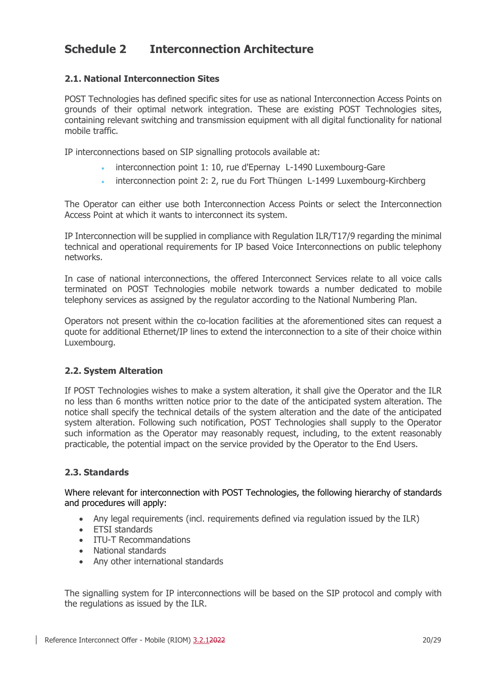## <span id="page-19-0"></span>**Schedule 2 Interconnection Architecture**

## <span id="page-19-1"></span>**2.1. National Interconnection Sites**

POST Technologies has defined specific sites for use as national Interconnection Access Points on grounds of their optimal network integration. These are existing POST Technologies sites, containing relevant switching and transmission equipment with all digital functionality for national mobile traffic.

IP interconnections based on SIP signalling protocols available at:

- interconnection point 1: 10, rue d'Epernay L-1490 Luxembourg-Gare
- interconnection point 2: 2, rue du Fort Thüngen L-1499 Luxembourg-Kirchberg

The Operator can either use both Interconnection Access Points or select the Interconnection Access Point at which it wants to interconnect its system.

IP Interconnection will be supplied in compliance with Regulation ILR/T17/9 regarding the minimal technical and operational requirements for IP based Voice Interconnections on public telephony networks.

In case of national interconnections, the offered Interconnect Services relate to all voice calls terminated on POST Technologies mobile network towards a number dedicated to mobile telephony services as assigned by the regulator according to the National Numbering Plan.

Operators not present within the co-location facilities at the aforementioned sites can request a quote for additional Ethernet/IP lines to extend the interconnection to a site of their choice within Luxembourg.

## <span id="page-19-2"></span>**2.2. System Alteration**

If POST Technologies wishes to make a system alteration, it shall give the Operator and the ILR no less than 6 months written notice prior to the date of the anticipated system alteration. The notice shall specify the technical details of the system alteration and the date of the anticipated system alteration. Following such notification, POST Technologies shall supply to the Operator such information as the Operator may reasonably request, including, to the extent reasonably practicable, the potential impact on the service provided by the Operator to the End Users.

## <span id="page-19-3"></span>**2.3. Standards**

Where relevant for interconnection with POST Technologies, the following hierarchy of standards and procedures will apply:

- Any legal requirements (incl. requirements defined via requiation issued by the ILR)
- ETSI standards
- ITU-T Recommandations
- National standards
- Any other international standards

The signalling system for IP interconnections will be based on the SIP protocol and comply with the regulations as issued by the ILR.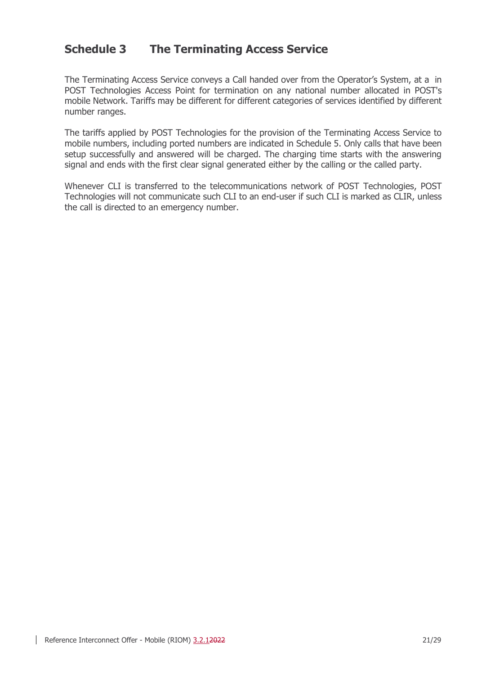## <span id="page-20-0"></span>**Schedule 3 The Terminating Access Service**

The Terminating Access Service conveys a Call handed over from the Operator's System, at a in POST Technologies Access Point for termination on any national number allocated in POST's mobile Network. Tariffs may be different for different categories of services identified by different number ranges.

The tariffs applied by POST Technologies for the provision of the Terminating Access Service to mobile numbers, including ported numbers are indicated in [Schedule 5.](#page-24-1) Only calls that have been setup successfully and answered will be charged. The charging time starts with the answering signal and ends with the first clear signal generated either by the calling or the called party.

Whenever CLI is transferred to the telecommunications network of POST Technologies, POST Technologies will not communicate such CLI to an end-user if such CLI is marked as CLIR, unless the call is directed to an emergency number.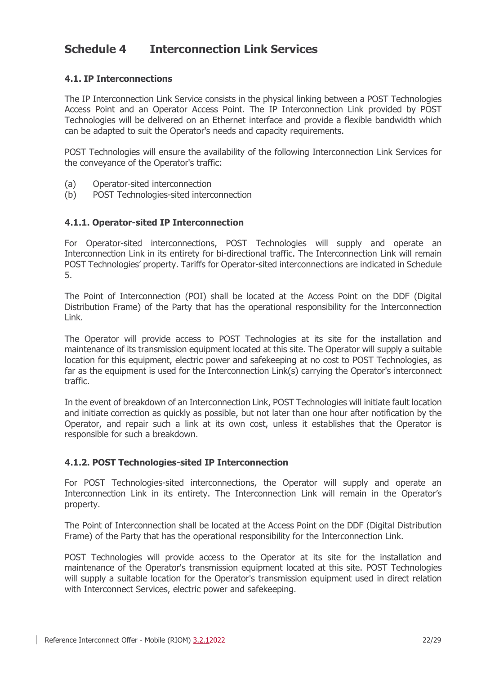## <span id="page-21-0"></span>**Schedule 4 Interconnection Link Services**

## <span id="page-21-1"></span>**4.1. IP Interconnections**

The IP Interconnection Link Service consists in the physical linking between a POST Technologies Access Point and an Operator Access Point. The IP Interconnection Link provided by POST Technologies will be delivered on an Ethernet interface and provide a flexible bandwidth which can be adapted to suit the Operator's needs and capacity requirements.

POST Technologies will ensure the availability of the following Interconnection Link Services for the conveyance of the Operator's traffic:

- (a) Operator-sited interconnection
- <span id="page-21-2"></span>(b) POST Technologies-sited interconnection

## **4.1.1. Operator-sited IP Interconnection**

For Operator-sited interconnections, POST Technologies will supply and operate an Interconnection Link in its entirety for bi-directional traffic. The Interconnection Link will remain POST Technologies' property. Tariffs for Operator-sited interconnections are indicated i[n Schedule](#page-24-1)  [5.](#page-24-1)

The Point of Interconnection (POI) shall be located at the Access Point on the DDF (Digital Distribution Frame) of the Party that has the operational responsibility for the Interconnection Link.

The Operator will provide access to POST Technologies at its site for the installation and maintenance of its transmission equipment located at this site. The Operator will supply a suitable location for this equipment, electric power and safekeeping at no cost to POST Technologies, as far as the equipment is used for the Interconnection Link(s) carrying the Operator's interconnect traffic.

In the event of breakdown of an Interconnection Link, POST Technologies will initiate fault location and initiate correction as quickly as possible, but not later than one hour after notification by the Operator, and repair such a link at its own cost, unless it establishes that the Operator is responsible for such a breakdown.

## <span id="page-21-3"></span>**4.1.2. POST Technologies-sited IP Interconnection**

For POST Technologies-sited interconnections, the Operator will supply and operate an Interconnection Link in its entirety. The Interconnection Link will remain in the Operator's property.

The Point of Interconnection shall be located at the Access Point on the DDF (Digital Distribution Frame) of the Party that has the operational responsibility for the Interconnection Link.

POST Technologies will provide access to the Operator at its site for the installation and maintenance of the Operator's transmission equipment located at this site. POST Technologies will supply a suitable location for the Operator's transmission equipment used in direct relation with Interconnect Services, electric power and safekeeping.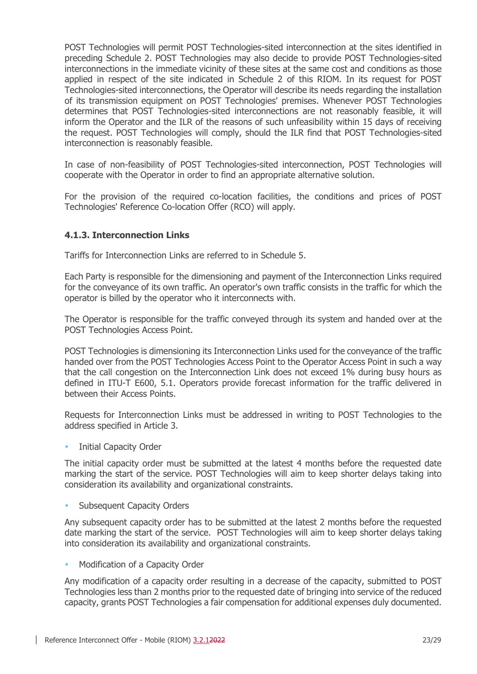POST Technologies will permit POST Technologies-sited interconnection at the sites identified in preceding [Schedule 2.](#page-19-0) POST Technologies may also decide to provide POST Technologies-sited interconnections in the immediate vicinity of these sites at the same cost and conditions as those applied in respect of the site indicated in [Schedule 2](#page-19-0) of this RIOM. In its request for POST Technologies-sited interconnections, the Operator will describe its needs regarding the installation of its transmission equipment on POST Technologies' premises. Whenever POST Technologies determines that POST Technologies-sited interconnections are not reasonably feasible, it will inform the Operator and the ILR of the reasons of such unfeasibility within 15 days of receiving the request. POST Technologies will comply, should the ILR find that POST Technologies-sited interconnection is reasonably feasible.

In case of non-feasibility of POST Technologies-sited interconnection, POST Technologies will cooperate with the Operator in order to find an appropriate alternative solution.

For the provision of the required co-location facilities, the conditions and prices of POST Technologies' Reference Co-location Offer (RCO) will apply.

## <span id="page-22-0"></span>**4.1.3. Interconnection Links**

Tariffs for Interconnection Links are referred to in [Schedule 5.](#page-24-1)

Each Party is responsible for the dimensioning and payment of the Interconnection Links required for the conveyance of its own traffic. An operator's own traffic consists in the traffic for which the operator is billed by the operator who it interconnects with.

The Operator is responsible for the traffic conveyed through its system and handed over at the POST Technologies Access Point.

POST Technologies is dimensioning its Interconnection Links used for the conveyance of the traffic handed over from the POST Technologies Access Point to the Operator Access Point in such a way that the call congestion on the Interconnection Link does not exceed 1% during busy hours as defined in ITU-T E600, 5.1. Operators provide forecast information for the traffic delivered in between their Access Points.

Requests for Interconnection Links must be addressed in writing to POST Technologies to the address specified in Article [3.](#page-15-0)

**•** Initial Capacity Order

The initial capacity order must be submitted at the latest 4 months before the requested date marking the start of the service. POST Technologies will aim to keep shorter delays taking into consideration its availability and organizational constraints.

Subsequent Capacity Orders

Any subsequent capacity order has to be submitted at the latest 2 months before the requested date marking the start of the service. POST Technologies will aim to keep shorter delays taking into consideration its availability and organizational constraints.

• Modification of a Capacity Order

Any modification of a capacity order resulting in a decrease of the capacity, submitted to POST Technologies less than 2 months prior to the requested date of bringing into service of the reduced capacity, grants POST Technologies a fair compensation for additional expenses duly documented.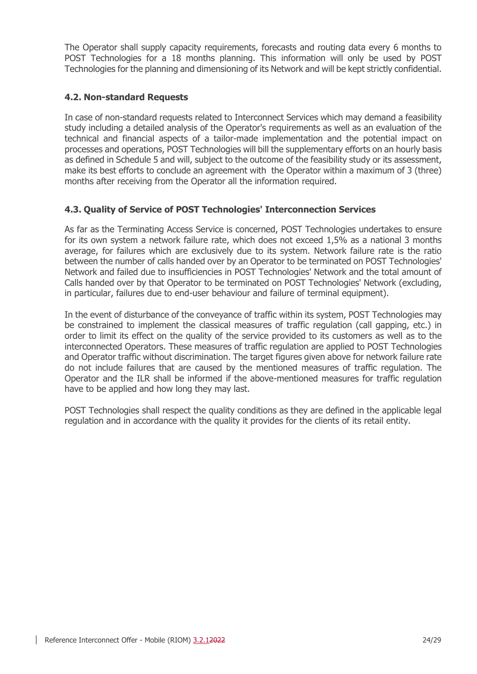The Operator shall supply capacity requirements, forecasts and routing data every 6 months to POST Technologies for a 18 months planning. This information will only be used by POST Technologies for the planning and dimensioning of its Network and will be kept strictly confidential.

## <span id="page-23-0"></span>**4.2. Non-standard Requests**

In case of non-standard requests related to Interconnect Services which may demand a feasibility study including a detailed analysis of the Operator's requirements as well as an evaluation of the technical and financial aspects of a tailor-made implementation and the potential impact on processes and operations, POST Technologies will bill the supplementary efforts on an hourly basis as defined in [Schedule 5](#page-24-1) and will, subject to the outcome of the feasibility study or its assessment, make its best efforts to conclude an agreement with the Operator within a maximum of 3 (three) months after receiving from the Operator all the information required.

## <span id="page-23-1"></span>**4.3. Quality of Service of POST Technologies' Interconnection Services**

As far as the Terminating Access Service is concerned, POST Technologies undertakes to ensure for its own system a network failure rate, which does not exceed 1,5% as a national 3 months average, for failures which are exclusively due to its system. Network failure rate is the ratio between the number of calls handed over by an Operator to be terminated on POST Technologies' Network and failed due to insufficiencies in POST Technologies' Network and the total amount of Calls handed over by that Operator to be terminated on POST Technologies' Network (excluding, in particular, failures due to end-user behaviour and failure of terminal equipment).

In the event of disturbance of the conveyance of traffic within its system, POST Technologies may be constrained to implement the classical measures of traffic regulation (call gapping, etc.) in order to limit its effect on the quality of the service provided to its customers as well as to the interconnected Operators. These measures of traffic regulation are applied to POST Technologies and Operator traffic without discrimination. The target figures given above for network failure rate do not include failures that are caused by the mentioned measures of traffic regulation. The Operator and the ILR shall be informed if the above-mentioned measures for traffic regulation have to be applied and how long they may last.

POST Technologies shall respect the quality conditions as they are defined in the applicable legal regulation and in accordance with the quality it provides for the clients of its retail entity.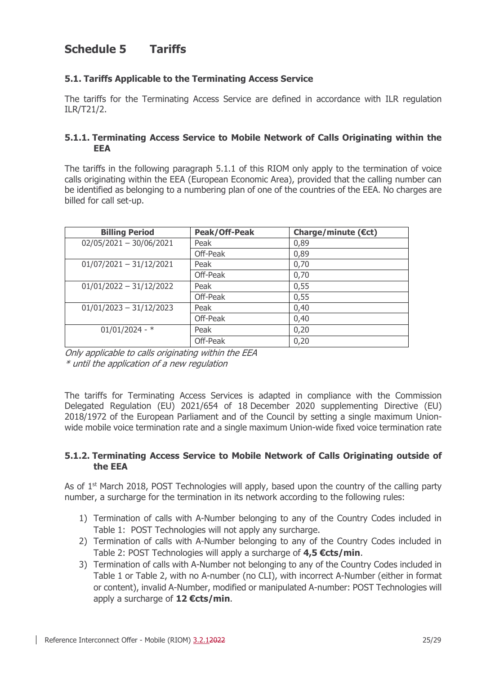## <span id="page-24-1"></span>**Schedule 5 Tariffs**

## <span id="page-24-2"></span>**5.1. Tariffs Applicable to the Terminating Access Service**

The tariffs for the Terminating Access Service are defined in accordance with ILR regulation ILR/T21/2.

#### <span id="page-24-3"></span>**5.1.1. Terminating Access Service to Mobile Network of Calls Originating within the EEA**

The tariffs in the following paragraph 5.1.1 of this RIOM only apply to the termination of voice calls originating within the EEA (European Economic Area), provided that the calling number can be identified as belonging to a numbering plan of one of the countries of the EEA. No charges are billed for call set-up.

| <b>Billing Period</b>     | Peak/Off-Peak | Charge/minute $(\epsilon ct)$ |
|---------------------------|---------------|-------------------------------|
| $02/05/2021 - 30/06/2021$ | Peak          | 0,89                          |
|                           | Off-Peak      | 0,89                          |
| $01/07/2021 - 31/12/2021$ | Peak          | 0,70                          |
|                           | Off-Peak      | 0,70                          |
| $01/01/2022 - 31/12/2022$ | Peak          | 0,55                          |
|                           | Off-Peak      | 0,55                          |
| $01/01/2023 - 31/12/2023$ | Peak          | 0,40                          |
|                           | Off-Peak      | 0,40                          |
| $01/01/2024 - *$          | Peak          | 0,20                          |
|                           | Off-Peak      | 0,20                          |

Only applicable to calls originating within the EEA \* until the application of a new regulation

The tariffs for Terminating Access Services is adapted in compliance with the Commission Delegated Regulation (EU) 2021/654 of 18 December 2020 supplementing Directive (EU) 2018/1972 of the European Parliament and of the Council by setting a single maximum Unionwide mobile voice termination rate and a single maximum Union-wide fixed voice termination rate

#### <span id="page-24-0"></span>**5.1.2. Terminating Access Service to Mobile Network of Calls Originating outside of the EEA**

As of  $1<sup>st</sup>$  March 2018, POST Technologies will apply, based upon the country of the calling party number, a surcharge for the termination in its network according to the following rules:

- 1) Termination of calls with A-Number belonging to any of the Country Codes included in Table 1: POST Technologies will not apply any surcharge.
- 2) Termination of calls with A-Number belonging to any of the Country Codes included in Table 2: POST Technologies will apply a surcharge of **4,5 €cts/min**.
- 3) Termination of calls with A-Number not belonging to any of the Country Codes included in Table 1 or Table 2, with no A-number (no CLI), with incorrect A-Number (either in format or content), invalid A-Number, modified or manipulated A-number: POST Technologies will apply a surcharge of **12 €cts/min**.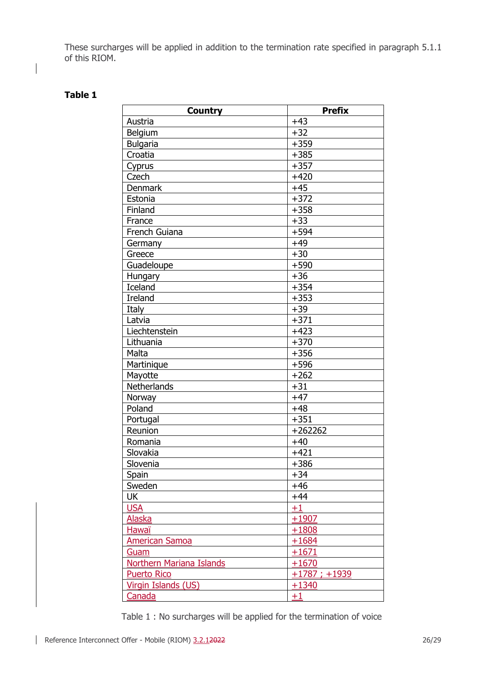These surcharges will be applied in addition to the termination rate specified in paragraph [5.1.1](#page-24-3) of this RIOM.

## **Table 1**

| <b>Country</b>                  | <b>Prefix</b>  |
|---------------------------------|----------------|
| Austria                         | $+43$          |
| Belgium                         | $+32$          |
| <b>Bulgaria</b>                 | $+359$         |
| Croatia                         | $+385$         |
| Cyprus                          | $+357$         |
| Czech                           | $+420$         |
| <b>Denmark</b>                  | $+45$          |
| Estonia                         | $+372$         |
| Finland                         | $+358$         |
| France                          | $+33$          |
| French Guiana                   | $+594$         |
| Germany                         | $+49$          |
| Greece                          | $+30$          |
| Guadeloupe                      | $+590$         |
| Hungary                         | $+36$          |
| Iceland                         | $+354$         |
| <b>Ireland</b>                  | $+353$         |
| Italy                           | $+39$          |
| Latvia                          | $+371$         |
| Liechtenstein                   | $+423$         |
| Lithuania                       | $+370$         |
| Malta                           | $+356$         |
| Martinique                      | $+596$         |
| Mayotte                         | $+262$         |
| Netherlands                     | $+31$          |
| Norway                          | $+47$          |
| Poland                          | $+48$          |
| Portugal                        | $+351$         |
| Reunion                         | $+262262$      |
| Romania                         | $+40$          |
| Slovakia                        | $+421$         |
| Slovenia                        | $+386$         |
| Spain                           | $+34$          |
| Sweden                          | $+46$          |
| UK                              | $+44$          |
| <b>USA</b>                      | $+1$           |
| <b>Alaska</b>                   | $+1907$        |
| <b>Hawaï</b>                    | $+1808$        |
| <b>American Samoa</b>           | $+1684$        |
| Guam                            | $+1671$        |
| <b>Northern Mariana Islands</b> | $+1670$        |
| <b>Puerto Rico</b>              | $+1787; +1939$ |
| Virgin Islands (US)             | $+1340$        |
| Canada                          | $+1$           |

Table 1 : No surcharges will be applied for the termination of voice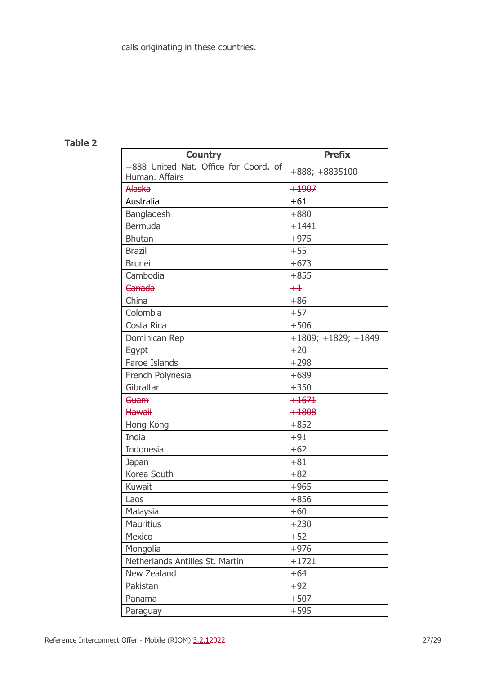## **Table 2**

| <b>Country</b><br>+888 United Nat. Office for Coord. of | <b>Prefix</b>         |
|---------------------------------------------------------|-----------------------|
| Human. Affairs                                          | +888; +8835100        |
| <b>Alaska</b>                                           | $+1907$               |
| Australia                                               | $+61$                 |
| Bangladesh                                              | $+880$                |
| Bermuda                                                 | $+1441$               |
| <b>Bhutan</b>                                           | $+975$                |
| <b>Brazil</b>                                           | $+55$                 |
| <b>Brunei</b>                                           | $+673$                |
| Cambodia                                                | $+855$                |
| Canada                                                  | $+1$                  |
| China                                                   | $+86$                 |
| Colombia                                                | $+57$                 |
| Costa Rica                                              | $+506$                |
| Dominican Rep                                           | $+1809; +1829; +1849$ |
| Egypt                                                   | $+20$                 |
| Faroe Islands                                           | $+298$                |
| French Polynesia                                        | $+689$                |
| Gibraltar                                               | $+350$                |
| Guam                                                    | $+1671$               |
| <b>Hawaii</b>                                           | $+1808$               |
| Hong Kong                                               | $+852$                |
| India                                                   | $+91$                 |
| Indonesia                                               | $+62$                 |
| Japan                                                   | $+81$                 |
| Korea South                                             | $+82$                 |
| Kuwait                                                  | $+965$                |
| Laos                                                    | $+856$                |
| Malaysia                                                | $+60$                 |
| <b>Mauritius</b>                                        | $+230$                |
| Mexico                                                  | $+52$                 |
| Mongolia                                                | $+976$                |
| Netherlands Antilles St. Martin                         | $+1721$               |
| New Zealand                                             | $+64$                 |
| Pakistan                                                | $+92$                 |
| Panama                                                  | $+507$                |
| Paraguay                                                | $+595$                |

 $\overline{\phantom{a}}$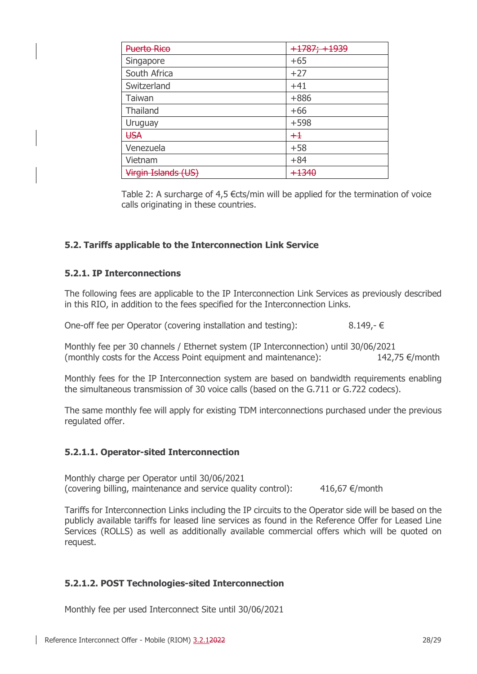| <b>Puerto Rico</b>  | <del>+1787; +1939</del> |
|---------------------|-------------------------|
| Singapore           | $+65$                   |
| South Africa        | $+27$                   |
| Switzerland         | $+41$                   |
| Taiwan              | $+886$                  |
| Thailand            | $+66$                   |
| Uruguay             | $+598$                  |
| <b>USA</b>          | $+1$                    |
| Venezuela           | $+58$                   |
| Vietnam             | $+84$                   |
| Virgin Islands (US) | 1240                    |

Table 2: A surcharge of 4,5 €cts/min will be applied for the termination of voice calls originating in these countries.

## <span id="page-27-0"></span>**5.2. Tariffs applicable to the Interconnection Link Service**

#### <span id="page-27-1"></span>**5.2.1. IP Interconnections**

The following fees are applicable to the IP Interconnection Link Services as previously described in this RIO, in addition to the fees specified for the Interconnection Links.

One-off fee per Operator (covering installation and testing):  $8.149,-6$ 

Monthly fee per 30 channels / Ethernet system (IP Interconnection) until 30/06/2021 (monthly costs for the Access Point equipment and maintenance):  $142.75 \in$ /month

Monthly fees for the IP Interconnection system are based on bandwidth requirements enabling the simultaneous transmission of 30 voice calls (based on the G.711 or G.722 codecs).

The same monthly fee will apply for existing TDM interconnections purchased under the previous regulated offer.

## <span id="page-27-2"></span>**5.2.1.1. Operator-sited Interconnection**

Monthly charge per Operator until 30/06/2021 (covering billing, maintenance and service quality control):  $416,67 \in$  month

Tariffs for Interconnection Links including the IP circuits to the Operator side will be based on the publicly available tariffs for leased line services as found in the Reference Offer for Leased Line Services (ROLLS) as well as additionally available commercial offers which will be quoted on request.

## <span id="page-27-3"></span>**5.2.1.2. POST Technologies-sited Interconnection**

Monthly fee per used Interconnect Site until 30/06/2021